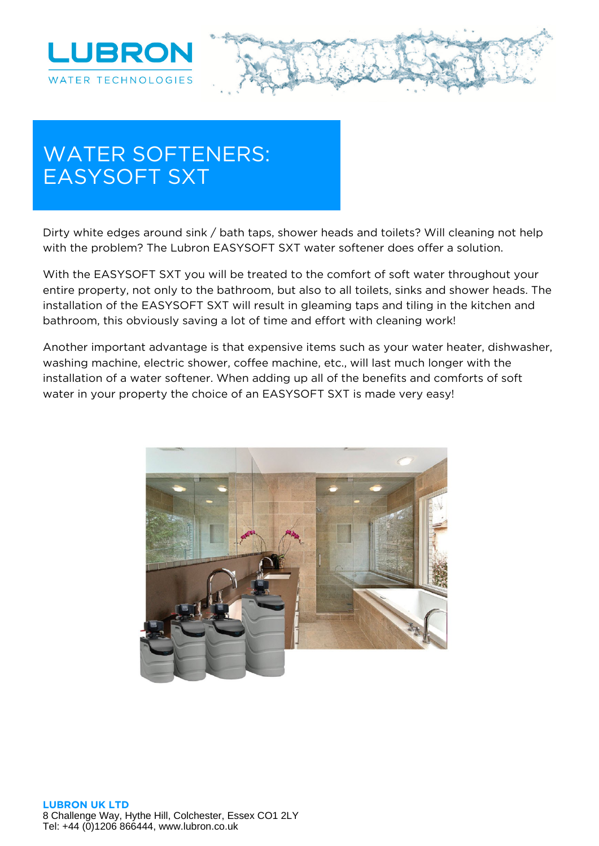



## **WATER SOFTENERS: EASYSOFT SXT**

Dirty white edges around sink / bath taps, shower heads and toilets? Will cleaning not help with the problem? The Lubron EASYSOFT SXT water softener does offer a solution.

With the EASYSOFT SXT you will be treated to the comfort of soft water throughout your entire property, not only to the bathroom, but also to all toilets, sinks and shower heads. The installation of the EASYSOFT SXT will result in gleaming taps and tiling in the kitchen and bathroom, this obviously saving a lot of time and effort with cleaning work!

Another important advantage is that expensive items such as your water heater, dishwasher, washing machine, electric shower, coffee machine, etc., will last much longer with the installation of a water softener. When adding up all of the benefits and comforts of soft water in your property the choice of an EASYSOFT SXT is made very easy!